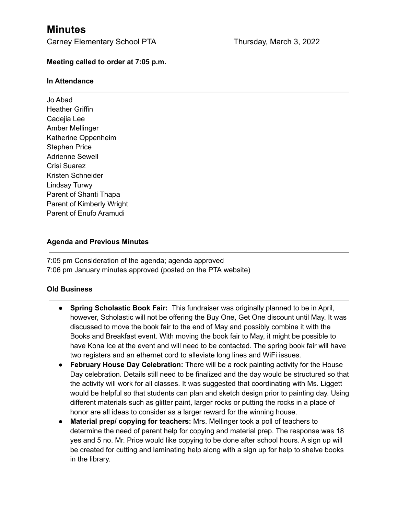# **Minutes**

Carney Elementary School PTA Thursday, March 3, 2022

#### **Meeting called to order at 7:05 p.m.**

#### **In Attendance**

Jo Abad Heather Griffin Cadejia Lee Amber Mellinger Katherine Oppenheim Stephen Price Adrienne Sewell Crisi Suarez Kristen Schneider Lindsay Turwy Parent of Shanti Thapa Parent of Kimberly Wright Parent of Enufo Aramudi

#### **Agenda and Previous Minutes**

7:05 pm Consideration of the agenda; agenda approved 7:06 pm January minutes approved (posted on the PTA website)

#### **Old Business**

- **● Spring Scholastic Book Fair:** This fundraiser was originally planned to be in April, however, Scholastic will not be offering the Buy One, Get One discount until May. It was discussed to move the book fair to the end of May and possibly combine it with the Books and Breakfast event. With moving the book fair to May, it might be possible to have Kona Ice at the event and will need to be contacted. The spring book fair will have two registers and an ethernet cord to alleviate long lines and WiFi issues.
- **● February House Day Celebration:** There will be a rock painting activity for the House Day celebration. Details still need to be finalized and the day would be structured so that the activity will work for all classes. It was suggested that coordinating with Ms. Liggett would be helpful so that students can plan and sketch design prior to painting day. Using different materials such as glitter paint, larger rocks or putting the rocks in a place of honor are all ideas to consider as a larger reward for the winning house.
- **● Material prep/ copying for teachers:** Mrs. Mellinger took a poll of teachers to determine the need of parent help for copying and material prep. The response was 18 yes and 5 no. Mr. Price would like copying to be done after school hours. A sign up will be created for cutting and laminating help along with a sign up for help to shelve books in the library.